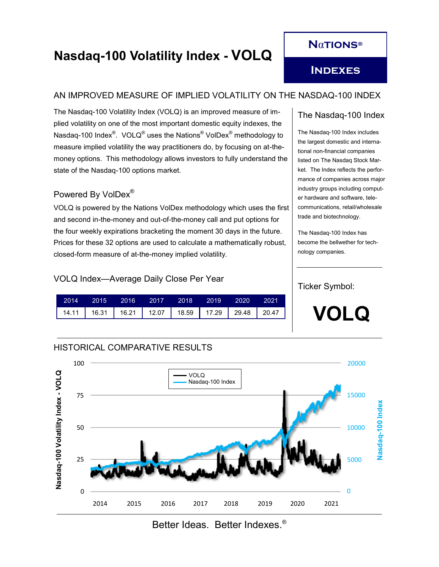# **N**α**tions®**

# **Nasdaq-100 Volatility Index - VOLQ**

**Indexes**

## AN IMPROVED MEASURE OF IMPLIED VOLATILITY ON THE NASDAQ-100 INDEX

The Nasdaq-100 Volatility Index (VOLQ) is an improved measure of implied volatility on one of the most important domestic equity indexes, the Nasdaq-100 Index $^\circledast$ . VOLQ $^\circledast$  uses the Nations $^\circledast$  VolDex $^\circledast$  methodology to measure implied volatility the way practitioners do, by focusing on at-themoney options. This methodology allows investors to fully understand the state of the Nasdaq-100 options market.

## Powered By VolDex®

VOLQ is powered by the Nations VolDex methodology which uses the first and second in-the-money and out-of-the-money call and put options for the four weekly expirations bracketing the moment 30 days in the future. Prices for these 32 options are used to calculate a mathematically robust, closed-form measure of at-the-money implied volatility.

#### VOLQ Index—Average Daily Close Per Year

HISTORICAL COMPARATIVE RESULTS

| 2014 2015 2016 2017 2018 2019 2020 2021 |  |  |  |
|-----------------------------------------|--|--|--|
|                                         |  |  |  |

## The Nasdaq-100 Index

The Nasdaq-100 Index includes the largest domestic and international non-financial companies listed on The Nasdaq Stock Market. The Index reflects the performance of companies across major industry groups including computer hardware and software, telecommunications, retail/wholesale trade and biotechnology.

The Nasdaq-100 Index has become the bellwether for technology companies.

#### Ticker Symbol:

**VOLQ**



Better Ideas. Better Indexes.®